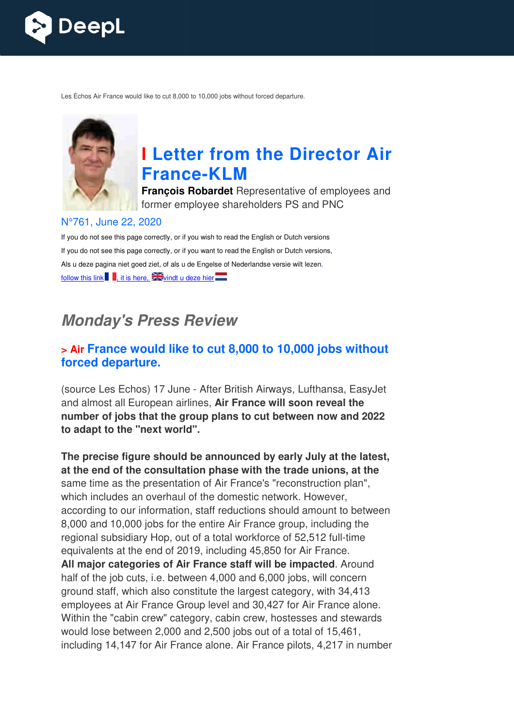

Les Échos Air France would like to cut 8,000 to 10,000 jobs without forced departure.



# **I Letter from the Director Air France France-KLM**

**François Robardet** Representative of employees and former employee shareholders PS and PNC

#### N°761, June 22, 2020

If you do not see this page correctly, or if you wish to read the English or Dutch versions If you do not see this page correctly, or if you want to read the English or Dutch versions, Als u deze pagina niet goed ziet, of als u de Engelse of Nederlandse versie wilt lezen, follow this link  $\blacksquare$ , it is here,  $\mathbb{Z}$  vindt u deze hier

## **Monday's Press Review**

#### **> Air France would like to cut 8,000 to 10,000 jobs without forced departure.**

(source Les Echos) 17 June - After British Airways, Lufthansa, EasyJet and almost all European airlines, **Air France will soon reveal the number of jobs that the group plans to cut between now and 2022 to adapt to the "next world".**

**The precise figure should be announced by early July at the latest, at the end of the consultation phase with the trade unions, at the** same time as the presentation of Air France's "reconstruction plan", which includes an overhaul of the domestic network. However, according to our information, staff reductions should amount to between 8,000 and 10,000 jobs for the entire Air France group, including the regional subsidiary Hop, out of a total workforce of 52,512 full-time equivalents at the end of 2019, including 45,850 for Air France. **All major categories of Air France staff will be impacted** . Around half of the job cuts, i.e. between 4,000 and 6,000 jobs, will concern ground staff, which also constitute the largest category, with 34,413 employees at Air France Group level and 30,427 for Air France alone. Within the "cabin crew" category, cabin crew, hostesses and stewards would lose between 2,000 and 2,500 jobs out of a total of 15,461, including 14,147 for Air France alone. Air France pilots, 4,217 in number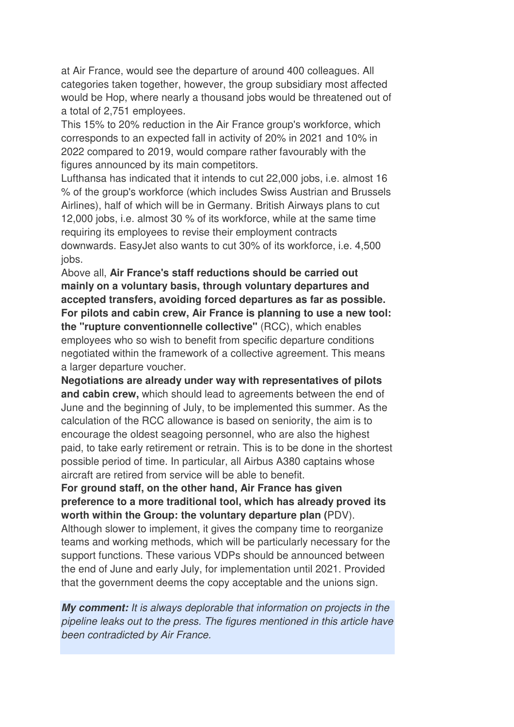at Air France, would see the departure of around 400 colleagues. All categories taken together, however, the group subsidiary most affected would be Hop, where nearly a thousand jobs would be threatened out of a total of 2,751 employees.

This 15% to 20% reduction in the Air France group's workforce, which corresponds to an expected fall in activity of 20% in 2021 and 10% in 2022 compared to 2019, would compare rather favourably with the figures announced by its main competitors.

Lufthansa has indicated that it intends to cut 22,000 jobs, i.e. almost 16 % of the group's workforce (which includes Swiss Austrian and Brussels Airlines), half of which will be in Germany. British Airways plans to cut 12,000 jobs, i.e. almost 30 % of its workforce, while at the same time requiring its employees to revise their employment contracts downwards. EasyJet also wants to cut 30% of its workforce, i.e. 4,500 jobs.

Above all, **Air France's staff reductions should be carried out mainly on a voluntary basis, through voluntary departures and accepted transfers, avoiding forced departures as far as possible. For pilots and cabin crew, Air France is planning to use a new tool: the "rupture conventionnelle collective"** (RCC), which enables employees who so wish to benefit from specific departure conditions negotiated within the framework of a collective agreement. This means a larger departure voucher.

**Negotiations are already under way with representatives of pilots and cabin crew,** which should lead to agreements between the end of June and the beginning of July, to be implemented this summer. As the calculation of the RCC allowance is based on seniority, the aim is to encourage the oldest seagoing personnel, who are also the highest paid, to take early retirement or retrain. This is to be done in the shortest possible period of time. In particular, all Airbus A380 captains whose aircraft are retired from service will be able to benefit.

**For ground staff, on the other hand, Air France has given preference to a more traditional tool, which has already proved its worth within the Group: the voluntary departure plan (**PDV).

Although slower to implement, it gives the company time to reorganize teams and working methods, which will be particularly necessary for the support functions. These various VDPs should be announced between the end of June and early July, for implementation until 2021. Provided that the government deems the copy acceptable and the unions sign.

**My comment:** It is always deplorable that information on projects in the pipeline leaks out to the press. The figures mentioned in this article have been contradicted by Air France.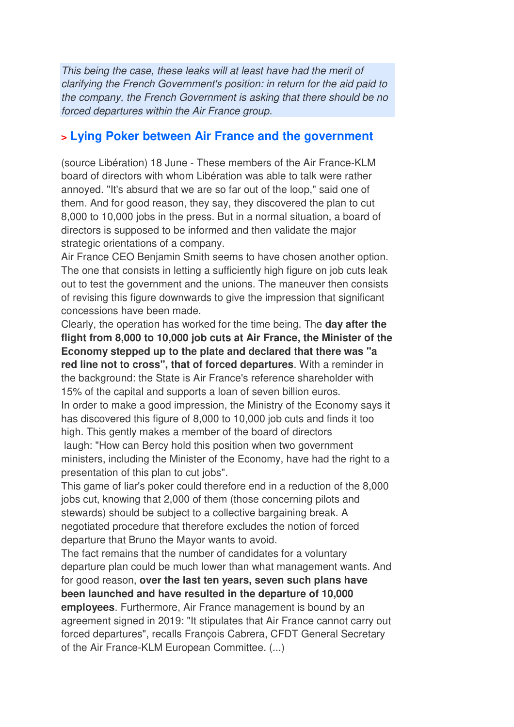This being the case, these leaks will at least have had the merit of clarifying the French Government's position: in return for the aid paid to the company, the French Government is asking that there should be no forced departures within the Air France group.

#### **> Lying Poker between Air France and the government**

(source Libération) 18 June - These members of the Air France-KLM board of directors with whom Libération was able to talk were rather annoyed. "It's absurd that we are so far out of the loop," said one of them. And for good reason, they say, they discovered the plan to cut 8,000 to 10,000 jobs in the press. But in a normal situation, a board of directors is supposed to be informed and then validate the major strategic orientations of a company.

Air France CEO Benjamin Smith seems to have chosen another option. The one that consists in letting a sufficiently high figure on job cuts leak out to test the government and the unions. The maneuver then consists of revising this figure downwards to give the impression that significant concessions have been made.

Clearly, the operation has worked for the time being. The **day after the flight from 8,000 to 10,000 job cuts at Air France, the Minister of the Economy stepped up to the plate and declared that there was "a red line not to cross", that of forced departures**. With a reminder in the background: the State is Air France's reference shareholder with 15% of the capital and supports a loan of seven billion euros. In order to make a good impression, the Ministry of the Economy says it has discovered this figure of 8,000 to 10,000 job cuts and finds it too high. This gently makes a member of the board of directors laugh: "How can Bercy hold this position when two government

ministers, including the Minister of the Economy, have had the right to a presentation of this plan to cut jobs".

This game of liar's poker could therefore end in a reduction of the 8,000 jobs cut, knowing that 2,000 of them (those concerning pilots and stewards) should be subject to a collective bargaining break. A negotiated procedure that therefore excludes the notion of forced departure that Bruno the Mayor wants to avoid.

The fact remains that the number of candidates for a voluntary departure plan could be much lower than what management wants. And for good reason, **over the last ten years, seven such plans have been launched and have resulted in the departure of 10,000 employees**. Furthermore, Air France management is bound by an agreement signed in 2019: "It stipulates that Air France cannot carry out forced departures", recalls François Cabrera, CFDT General Secretary of the Air France-KLM European Committee. (...)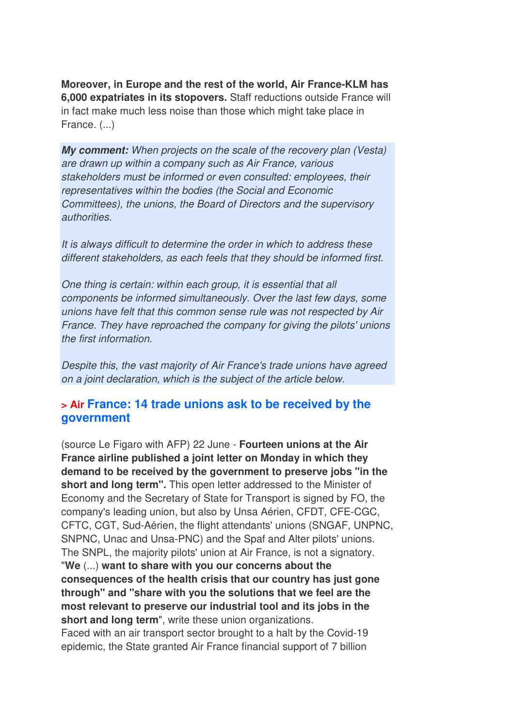**Moreover, in Europe and the rest of the world, Air France-KLM has 6,000 expatriates in its stopovers.** Staff reductions outside France will in fact make much less noise than those which might take place in France. (...)

**My comment:** When projects on the scale of the recovery plan (Vesta) are drawn up within a company such as Air France, various stakeholders must be informed or even consulted: employees, their representatives within the bodies (the Social and Economic Committees), the unions, the Board of Directors and the supervisory authorities.

It is always difficult to determine the order in which to address these different stakeholders, as each feels that they should be informed first.

One thing is certain: within each group, it is essential that all components be informed simultaneously. Over the last few days, some unions have felt that this common sense rule was not respected by Air France. They have reproached the company for giving the pilots' unions the first information.

Despite this, the vast majority of Air France's trade unions have agreed on a joint declaration, which is the subject of the article below.

#### **> Air France: 14 trade unions ask to be received by the government**

(source Le Figaro with AFP) 22 June - **Fourteen unions at the Air France airline published a joint letter on Monday in which they demand to be received by the government to preserve jobs "in the short and long term".** This open letter addressed to the Minister of Economy and the Secretary of State for Transport is signed by FO, the company's leading union, but also by Unsa Aérien, CFDT, CFE-CGC, CFTC, CGT, Sud-Aérien, the flight attendants' unions (SNGAF, UNPNC, SNPNC, Unac and Unsa-PNC) and the Spaf and Alter pilots' unions. The SNPL, the majority pilots' union at Air France, is not a signatory. "**We** (...) **want to share with you our concerns about the consequences of the health crisis that our country has just gone through" and "share with you the solutions that we feel are the most relevant to preserve our industrial tool and its jobs in the**  short and long term", write these union organizations. Faced with an air transport sector brought to a halt by the Covid-19 epidemic, the State granted Air France financial support of 7 billion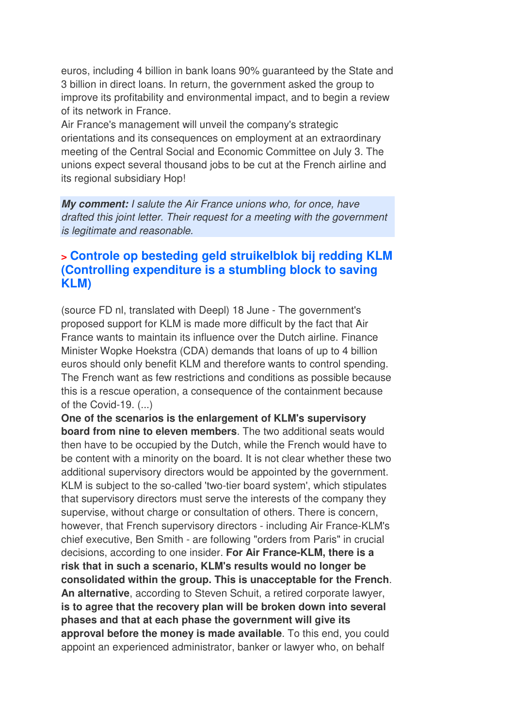euros, including 4 billion in bank loans 90% guaranteed by the State and 3 billion in direct loans. In return, the government asked the group to improve its profitability and environmental impact, and to begin a review of its network in France.

Air France's management will unveil the company's strategic orientations and its consequences on employment at an extraordinary meeting of the Central Social and Economic Committee on July 3. The unions expect several thousand jobs to be cut at the French airline and its regional subsidiary Hop!

**My comment:** I salute the Air France unions who, for once, have drafted this joint letter. Their request for a meeting with the government is legitimate and reasonable.

## **> Controle op besteding geld struikelblok bij redding KLM (Controlling expenditure is a stumbling block to saving KLM)**

(source FD nl, translated with Deepl) 18 June - The government's proposed support for KLM is made more difficult by the fact that Air France wants to maintain its influence over the Dutch airline. Finance Minister Wopke Hoekstra (CDA) demands that loans of up to 4 billion euros should only benefit KLM and therefore wants to control spending. The French want as few restrictions and conditions as possible because this is a rescue operation, a consequence of the containment because of the Covid-19.  $(...)$ 

**One of the scenarios is the enlargement of KLM's supervisory board from nine to eleven members**. The two additional seats would then have to be occupied by the Dutch, while the French would have to be content with a minority on the board. It is not clear whether these two additional supervisory directors would be appointed by the government. KLM is subject to the so-called 'two-tier board system', which stipulates that supervisory directors must serve the interests of the company they supervise, without charge or consultation of others. There is concern, however, that French supervisory directors - including Air France-KLM's chief executive, Ben Smith - are following "orders from Paris" in crucial decisions, according to one insider. **For Air France-KLM, there is a risk that in such a scenario, KLM's results would no longer be consolidated within the group. This is unacceptable for the French**. **An alternative**, according to Steven Schuit, a retired corporate lawyer, **is to agree that the recovery plan will be broken down into several phases and that at each phase the government will give its approval before the money is made available**. To this end, you could appoint an experienced administrator, banker or lawyer who, on behalf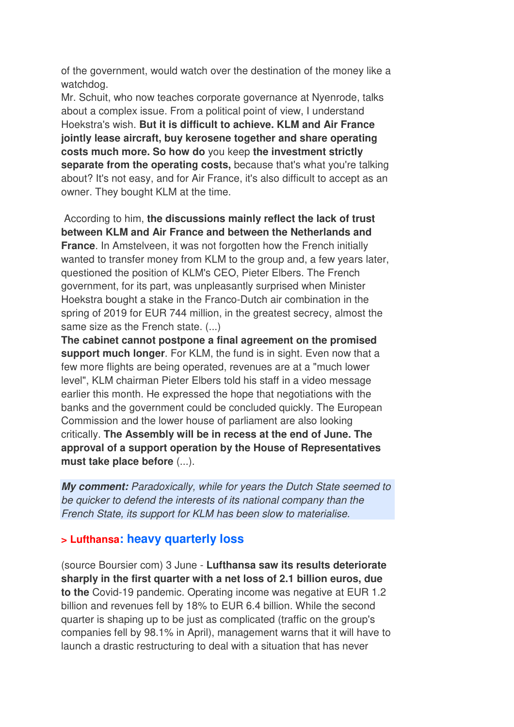of the government, would watch over the destination of the money like a watchdog.

Mr. Schuit, who now teaches corporate governance at Nyenrode, talks about a complex issue. From a political point of view, I understand Hoekstra's wish. **But it is difficult to achieve. KLM and Air France jointly lease aircraft, buy kerosene together and share operating costs much more. So how do** you keep **the investment strictly separate from the operating costs,** because that's what you're talking about? It's not easy, and for Air France, it's also difficult to accept as an owner. They bought KLM at the time.

 According to him, **the discussions mainly reflect the lack of trust between KLM and Air France and between the Netherlands and France.** In Amstelveen, it was not forgotten how the French initially wanted to transfer money from KLM to the group and, a few years later, questioned the position of KLM's CEO, Pieter Elbers. The French government, for its part, was unpleasantly surprised when Minister Hoekstra bought a stake in the Franco-Dutch air combination in the spring of 2019 for EUR 744 million, in the greatest secrecy, almost the same size as the French state. (...)

**The cabinet cannot postpone a final agreement on the promised support much longer**. For KLM, the fund is in sight. Even now that a few more flights are being operated, revenues are at a "much lower level", KLM chairman Pieter Elbers told his staff in a video message earlier this month. He expressed the hope that negotiations with the banks and the government could be concluded quickly. The European Commission and the lower house of parliament are also looking critically. **The Assembly will be in recess at the end of June. The approval of a support operation by the House of Representatives must take place before** (...).

**My comment:** Paradoxically, while for years the Dutch State seemed to be quicker to defend the interests of its national company than the French State, its support for KLM has been slow to materialise.

#### **> Lufthansa: heavy quarterly loss**

(source Boursier com) 3 June - **Lufthansa saw its results deteriorate sharply in the first quarter with a net loss of 2.1 billion euros, due to the** Covid-19 pandemic. Operating income was negative at EUR 1.2 billion and revenues fell by 18% to EUR 6.4 billion. While the second quarter is shaping up to be just as complicated (traffic on the group's companies fell by 98.1% in April), management warns that it will have to launch a drastic restructuring to deal with a situation that has never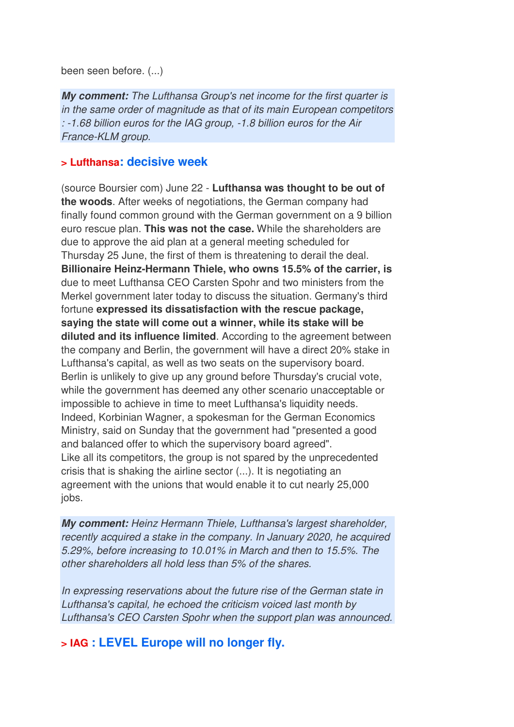been seen before. (...)

**My comment:** The Lufthansa Group's net income for the first quarter is in the same order of magnitude as that of its main European competitors : -1.68 billion euros for the IAG group, -1.8 billion euros for the Air France-KLM group.

#### **> Lufthansa: decisive week**

(source Boursier com) June 22 - **Lufthansa was thought to be out of the woods**. After weeks of negotiations, the German company had finally found common ground with the German government on a 9 billion euro rescue plan. **This was not the case.** While the shareholders are due to approve the aid plan at a general meeting scheduled for Thursday 25 June, the first of them is threatening to derail the deal. **Billionaire Heinz-Hermann Thiele, who owns 15.5% of the carrier, is** due to meet Lufthansa CEO Carsten Spohr and two ministers from the Merkel government later today to discuss the situation. Germany's third fortune **expressed its dissatisfaction with the rescue package, saying the state will come out a winner, while its stake will be diluted and its influence limited**. According to the agreement between the company and Berlin, the government will have a direct 20% stake in Lufthansa's capital, as well as two seats on the supervisory board. Berlin is unlikely to give up any ground before Thursday's crucial vote, while the government has deemed any other scenario unacceptable or impossible to achieve in time to meet Lufthansa's liquidity needs. Indeed, Korbinian Wagner, a spokesman for the German Economics Ministry, said on Sunday that the government had "presented a good and balanced offer to which the supervisory board agreed". Like all its competitors, the group is not spared by the unprecedented crisis that is shaking the airline sector (...). It is negotiating an agreement with the unions that would enable it to cut nearly 25,000 jobs.

**My comment:** Heinz Hermann Thiele, Lufthansa's largest shareholder, recently acquired a stake in the company. In January 2020, he acquired 5.29%, before increasing to 10.01% in March and then to 15.5%. The other shareholders all hold less than 5% of the shares.

In expressing reservations about the future rise of the German state in Lufthansa's capital, he echoed the criticism voiced last month by Lufthansa's CEO Carsten Spohr when the support plan was announced.

**> IAG : LEVEL Europe will no longer fly.**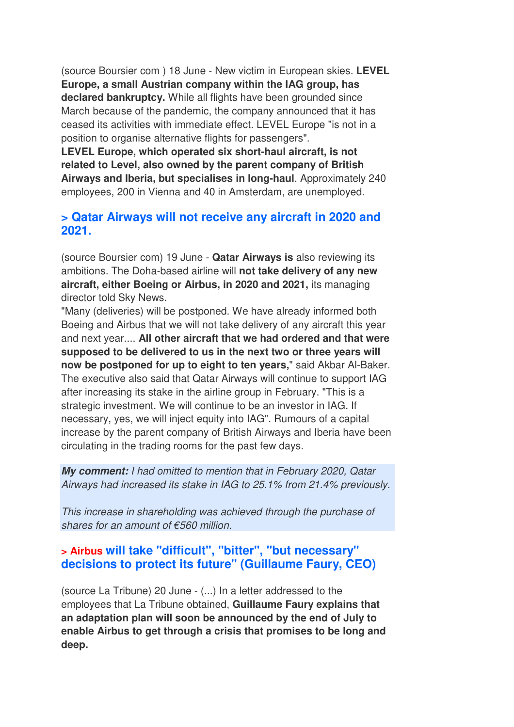(source Boursier com ) 18 June - New victim in European skies. **LEVEL Europe, a small Austrian company within the IAG group, has declared bankruptcy.** While all flights have been grounded since March because of the pandemic, the company announced that it has ceased its activities with immediate effect. LEVEL Europe "is not in a position to organise alternative flights for passengers".

**LEVEL Europe, which operated six short-haul aircraft, is not related to Level, also owned by the parent company of British Airways and Iberia, but specialises in long-haul**. Approximately 240 employees, 200 in Vienna and 40 in Amsterdam, are unemployed.

#### **> Qatar Airways will not receive any aircraft in 2020 and 2021.**

(source Boursier com) 19 June - **Qatar Airways is** also reviewing its ambitions. The Doha-based airline will **not take delivery of any new aircraft, either Boeing or Airbus, in 2020 and 2021,** its managing director told Sky News.

"Many (deliveries) will be postponed. We have already informed both Boeing and Airbus that we will not take delivery of any aircraft this year and next year.... **All other aircraft that we had ordered and that were supposed to be delivered to us in the next two or three years will now be postponed for up to eight to ten years,**" said Akbar Al-Baker. The executive also said that Qatar Airways will continue to support IAG after increasing its stake in the airline group in February. "This is a strategic investment. We will continue to be an investor in IAG. If necessary, yes, we will inject equity into IAG". Rumours of a capital increase by the parent company of British Airways and Iberia have been circulating in the trading rooms for the past few days.

**My comment:** I had omitted to mention that in February 2020, Qatar Airways had increased its stake in IAG to 25.1% from 21.4% previously.

This increase in shareholding was achieved through the purchase of shares for an amount of €560 million.

### **> Airbus will take "difficult", "bitter", "but necessary" decisions to protect its future" (Guillaume Faury, CEO)**

(source La Tribune) 20 June - (...) In a letter addressed to the employees that La Tribune obtained, **Guillaume Faury explains that an adaptation plan will soon be announced by the end of July to enable Airbus to get through a crisis that promises to be long and deep.**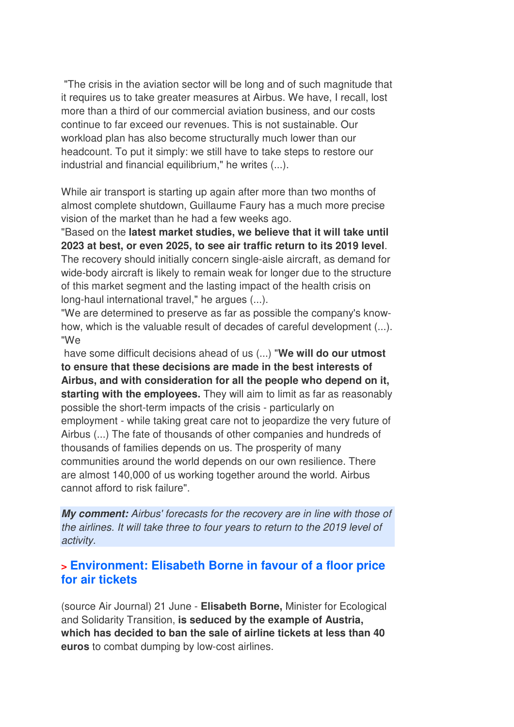"The crisis in the aviation sector will be long and of such magnitude that it requires us to take greater measures at Airbus. We have, I recall, lost more than a third of our commercial aviation business, and our costs continue to far exceed our revenues. This is not sustainable. Our workload plan has also become structurally much lower than our headcount. To put it simply: we still have to take steps to restore our industrial and financial equilibrium," he writes (...).

While air transport is starting up again after more than two months of almost complete shutdown, Guillaume Faury has a much more precise vision of the market than he had a few weeks ago.

"Based on the **latest market studies, we believe that it will take until 2023 at best, or even 2025, to see air traffic return to its 2019 level**. The recovery should initially concern single-aisle aircraft, as demand for wide-body aircraft is likely to remain weak for longer due to the structure of this market segment and the lasting impact of the health crisis on long-haul international travel," he argues (...).

"We are determined to preserve as far as possible the company's knowhow, which is the valuable result of decades of careful development (...). "We

 have some difficult decisions ahead of us (...) "**We will do our utmost to ensure that these decisions are made in the best interests of Airbus, and with consideration for all the people who depend on it, starting with the employees.** They will aim to limit as far as reasonably possible the short-term impacts of the crisis - particularly on employment - while taking great care not to jeopardize the very future of Airbus (...) The fate of thousands of other companies and hundreds of thousands of families depends on us. The prosperity of many communities around the world depends on our own resilience. There are almost 140,000 of us working together around the world. Airbus cannot afford to risk failure".

**My comment:** Airbus' forecasts for the recovery are in line with those of the airlines. It will take three to four years to return to the 2019 level of activity.

#### **> Environment: Elisabeth Borne in favour of a floor price for air tickets**

(source Air Journal) 21 June - **Elisabeth Borne,** Minister for Ecological and Solidarity Transition, **is seduced by the example of Austria, which has decided to ban the sale of airline tickets at less than 40 euros** to combat dumping by low-cost airlines.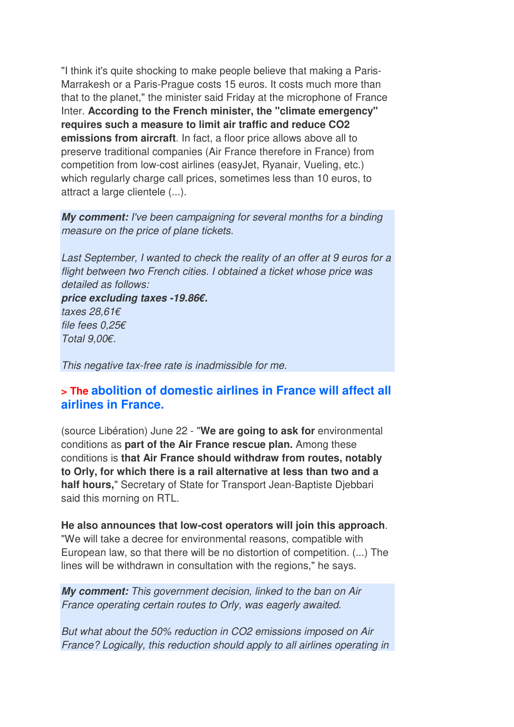"I think it's quite shocking to make people believe that making a Paris-Marrakesh or a Paris-Prague costs 15 euros. It costs much more than that to the planet," the minister said Friday at the microphone of France Inter. **According to the French minister, the "climate emergency" requires such a measure to limit air traffic and reduce CO2 emissions from aircraft**. In fact, a floor price allows above all to preserve traditional companies (Air France therefore in France) from competition from low-cost airlines (easyJet, Ryanair, Vueling, etc.) which regularly charge call prices, sometimes less than 10 euros, to attract a large clientele (...).

**My comment:** I've been campaigning for several months for a binding measure on the price of plane tickets.

Last September, I wanted to check the reality of an offer at 9 euros for a flight between two French cities. I obtained a ticket whose price was detailed as follows:

**price excluding taxes -19.86€.**  taxes 28,61€ file fees 0,25€

Total 9,00€.

This negative tax-free rate is inadmissible for me.

#### **> The abolition of domestic airlines in France will affect all airlines in France.**

(source Libération) June 22 - "**We are going to ask for** environmental conditions as **part of the Air France rescue plan.** Among these conditions is **that Air France should withdraw from routes, notably to Orly, for which there is a rail alternative at less than two and a half hours,**" Secretary of State for Transport Jean-Baptiste Djebbari said this morning on RTL.

**He also announces that low-cost operators will join this approach**. "We will take a decree for environmental reasons, compatible with European law, so that there will be no distortion of competition. (...) The lines will be withdrawn in consultation with the regions," he says.

**My comment:** This government decision, linked to the ban on Air France operating certain routes to Orly, was eagerly awaited.

But what about the 50% reduction in CO2 emissions imposed on Air France? Logically, this reduction should apply to all airlines operating in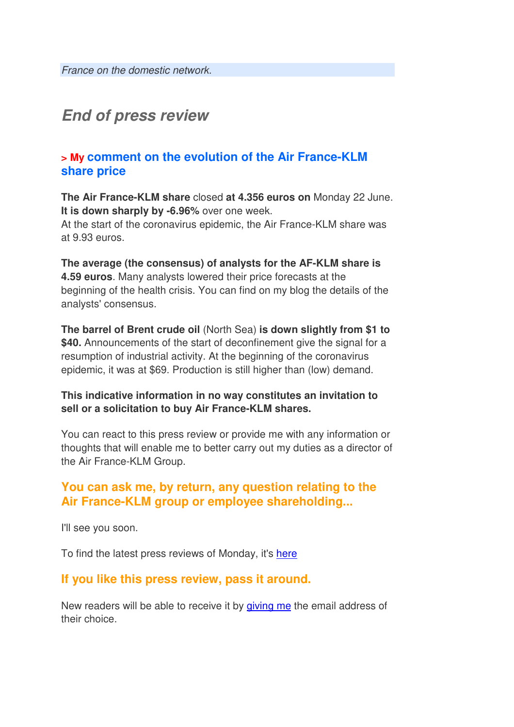## **End of press review**

#### **> My comment on the evolution of the Air France-KLM share price**

**The Air France-KLM share** closed **at 4.356 euros on** Monday 22 June. **It is down sharply by -6.96%** over one week. At the start of the coronavirus epidemic, the Air France-KLM share was at 9.93 euros.

**The average (the consensus) of analysts for the AF-KLM share is 4.59 euros**. Many analysts lowered their price forecasts at the beginning of the health crisis. You can find on my blog the details of the analysts' consensus.

**The barrel of Brent crude oil** (North Sea) **is down slightly from \$1 to \$40.** Announcements of the start of deconfinement give the signal for a resumption of industrial activity. At the beginning of the coronavirus epidemic, it was at \$69. Production is still higher than (low) demand.

#### **This indicative information in no way constitutes an invitation to sell or a solicitation to buy Air France-KLM shares.**

You can react to this press review or provide me with any information or thoughts that will enable me to better carry out my duties as a director of the Air France-KLM Group.

### **You can ask me, by return, any question relating to the Air France-KLM group or employee shareholding...**

I'll see you soon.

To find the latest press reviews of Monday, it's here

#### **If you like this press review, pass it around.**

New readers will be able to receive it by giving me the email address of their choice.